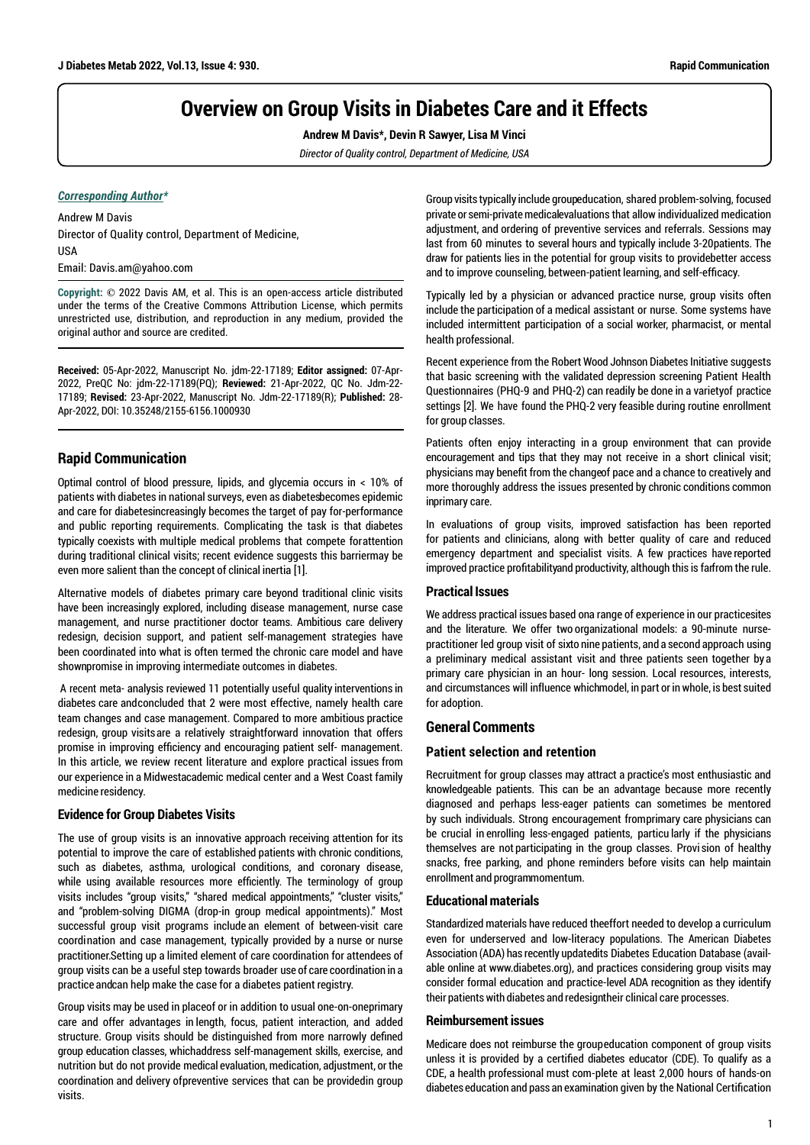# **Overview on Group Visits in Diabetes Care and it Effects**

**Andrew M Davis\*, Devin R Sawyer, Lisa M Vinci**

*Director of Quality control, Department of Medicine, USA* 

#### *Corresponding Author\**

Andrew M Davis Director of Quality control, Department of Medicine, USA Email: Davis.am@yahoo.com

**Copyright: ©** 2022 Davis AM, et al. This is an open-access article distributed under the terms of the Creative Commons Attribution License, which permits unrestricted use, distribution, and reproduction in any medium, provided the original author and source are credited.

**Received:** 05-Apr-2022, Manuscript No. jdm-22-17189; **Editor assigned:** 07-Apr-2022, PreQC No: jdm-22-17189(PQ); **Reviewed:** 21-Apr-2022, QC No. Jdm-22- 17189; **Revised:** 23-Apr-2022, Manuscript No. Jdm-22-17189(R); **Published:** 28- Apr-2022, DOI: 10.35248/2155-6156.1000930

## **Rapid Communication**

Optimal control of blood pressure, lipids, and glycemia occurs in < 10% of patients with diabetes in national surveys, even as diabetes becomes epidemic and care for diabetesincreasingly becomes the target of pay for-performance and public reporting requirements. Complicating the task is that diabetes typically coexists with multiple medical problems that compete forattention during traditional clinical visits; recent evidence suggests this barriermay be even more salient than the concept of clinical inertia [1].

Alternative models of diabetes primary care beyond traditional clinic visits have been increasingly explored, including disease management, nurse case management, and nurse practitioner doctor teams. Ambitious care delivery redesign, decision support, and patient self-management strategies have been coordinated into what is often termed the chronic care model and have shown promise in improving intermediate outcomes in diabetes.

 A recent meta- analysis reviewed 11 potentially useful quality interventions in diabetes care and concluded that 2 were most effective, namely health care team changes and case management. Compared to more ambitious practice redesign, group visits are a relatively straightforward innovation that offers promise in improving efficiency and encouraging patient self- management. In this article, we review recent literature and explore practical issues from our experience in a Midwestacademic medical center and a West Coast family medicine residency.

#### **Evidence for Group Diabetes Visits**

The use of group visits is an innovative approach receiving attention for its potential to improve the care of established patients with chronic conditions, such as diabetes, asthma, urological conditions, and coronary disease, while using available resources more efficiently. The terminology of group visits includes "group visits," "shared medical appointments," "cluster visits," and "problem-solving DIGMA (drop-in group medical appointments)." Most successful group visit programs include an element of between-visit care coordination and case management, typically provided by a nurse or nurse practitioner. Setting up a limited element of care coordination for attendees of group visits can be a useful step towards broader use of care coordination in a practice and can help make the case for a diabetes patient registry.

Group visits may be used in place of or in addition to usual one-on-oneprimary care and offer advantages in length, focus, patient interaction, and added structure. Group visits should be distinguished from more narrowly defined group education classes, which address self-management skills, exercise, and nutrition but do not provide medical evaluation, medication, adjustment, or the coordination and delivery of preventive services that can be provided in group visits.

Group visits typically include groupeducation, shared problem-solving, focused private or semi-private medicalevaluations that allow individualized medication adjustment, and ordering of preventive services and referrals. Sessions may last from 60 minutes to several hours and typically include 3-20 patients. The draw for patients lies in the potential for group visits to providebetter access and to improve counseling, between-patient learning, and self-efficacy.

Typically led by a physician or advanced practice nurse, group visits often include the participation of a medical assistant or nurse. Some systems have included intermittent participation of a social worker, pharmacist, or mental health professional.

Recent experience from the Robert Wood Johnson Diabetes Initiative suggests that basic screening with the validated depression screening Patient Health Questionnaires (PHQ-9 and PHQ-2) can readily be done in a variety of practice settings [2]. We have found the PHQ-2 very feasible during routine enrollment for group classes.

Patients often enjoy interacting in a group environment that can provide encouragement and tips that they may not receive in a short clinical visit; physicians may benefit from the change of pace and a chance to creatively and more thoroughly address the issues presented by chronic conditions common inprimary care.

In evaluations of group visits, improved satisfaction has been reported for patients and clinicians, along with better quality of care and reduced emergency department and specialist visits. A few practices have reported improved practice profitability and productivity, although this is far from the rule.

## **Practical Issues**

We address practical issues based ona range of experience in our practice sites and the literature. We offer two organizational models: a 90-minute nursepractitioner led group visit of sixto nine patients, and a second approach using a preliminary medical assistant visit and three patients seen together by a primary care physician in an hour- long session. Local resources, interests, and circumstances will influence which model, in part or in whole, is best suited for adoption.

## **General Comments**

#### **Patient selection and retention**

Recruitment for group classes may attract a practice's most enthusiastic and knowledgeable patients. This can be an advantage because more recently diagnosed and perhaps less-eager patients can sometimes be mentored by such individuals. Strong encouragement from primary care physicians can be crucial in enrolling less-engaged patients, particu larly if the physicians themselves are not participating in the group classes. Provi sion of healthy snacks, free parking, and phone reminders before visits can help maintain enrollment and programmomentum.

## **Educational materials**

Standardized materials have reduced the effort needed to develop a curriculum even for underserved and low-literacy populations. The American Diabetes Association (ADA) has recently updatedits Diabetes Education Database (available online at www.diabetes.org), and practices considering group visits may consider formal education and practice- level ADA recognition as they identify their patients with diabetes and redesigntheir clinical care processes.

#### **Reimbursement issues**

Medicare does not reimburse the group education component of group visits unless it is provided by a certified diabetes educator (CDE). To qualify as a CDE, a health professional must com- plete at least 2,000 hours of hands-on diabetes education and pass an examination given by the National Certification